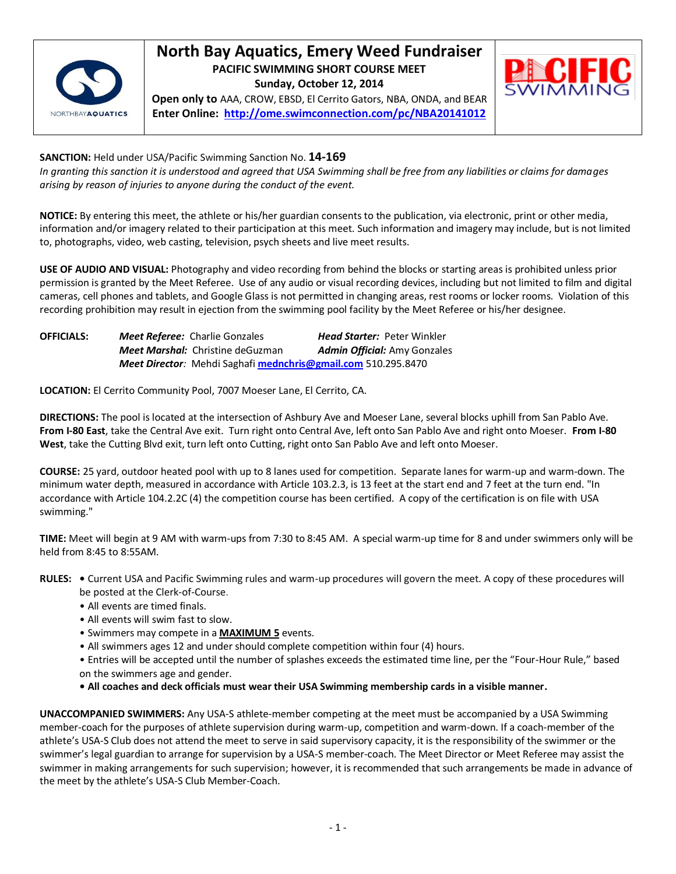

## **North Bay Aquatics, Emery Weed Fundraiser PACIFIC SWIMMING SHORT COURSE MEET Sunday, October 12, 2014**

**Open only to** AAA, CROW, EBSD, El Cerrito Gators, NBA, ONDA, and BEAR **Enter Online: <http://ome.swimconnection.com/pc/NBA20141012>**



**SANCTION:** Held under USA/Pacific Swimming Sanction No. **14-169**

*In granting this sanction it is understood and agreed that USA Swimming shall be free from any liabilities or claims for damages arising by reason of injuries to anyone during the conduct of the event.*

**NOTICE:** By entering this meet, the athlete or his/her guardian consents to the publication, via electronic, print or other media, information and/or imagery related to their participation at this meet. Such information and imagery may include, but is not limited to, photographs, video, web casting, television, psych sheets and live meet results.

**USE OF AUDIO AND VISUAL:** Photography and video recording from behind the blocks or starting areas is prohibited unless prior permission is granted by the Meet Referee. Use of any audio or visual recording devices, including but not limited to film and digital cameras, cell phones and tablets, and Google Glass is not permitted in changing areas, rest rooms or locker rooms. Violation of this recording prohibition may result in ejection from the swimming pool facility by the Meet Referee or his/her designee.

| <b>OFFICIALS:</b> | <b>Meet Referee: Charlie Gonzales</b>                         | <b>Head Starter: Peter Winkler</b>  |
|-------------------|---------------------------------------------------------------|-------------------------------------|
|                   | <b>Meet Marshal:</b> Christine deGuzman                       | <b>Admin Official:</b> Amy Gonzales |
|                   | Meet Director: Mehdi Saghafi mednchris@gmail.com 510.295.8470 |                                     |

**LOCATION:** El Cerrito Community Pool, 7007 Moeser Lane, El Cerrito, CA.

**DIRECTIONS:** The pool is located at the intersection of Ashbury Ave and Moeser Lane, several blocks uphill from San Pablo Ave. **From I-80 East**, take the Central Ave exit. Turn right onto Central Ave, left onto San Pablo Ave and right onto Moeser. **From I-80 West**, take the Cutting Blvd exit, turn left onto Cutting, right onto San Pablo Ave and left onto Moeser.

**COURSE:** 25 yard, outdoor heated pool with up to 8 lanes used for competition. Separate lanes for warm-up and warm-down. The minimum water depth, measured in accordance with Article 103.2.3, is 13 feet at the start end and 7 feet at the turn end. "In accordance with Article 104.2.2C (4) the competition course has been certified. A copy of the certification is on file with USA swimming."

**TIME:** Meet will begin at 9 AM with warm-ups from 7:30 to 8:45 AM. A special warm-up time for 8 and under swimmers only will be held from 8:45 to 8:55AM.

- **RULES:** Current USA and Pacific Swimming rules and warm-up procedures will govern the meet. A copy of these procedures will be posted at the Clerk-of-Course.
	- All events are timed finals.
	- All events will swim fast to slow.
	- Swimmers may compete in a **MAXIMUM 5** events.
	- All swimmers ages 12 and under should complete competition within four (4) hours.
	- Entries will be accepted until the number of splashes exceeds the estimated time line, per the "Four-Hour Rule," based on the swimmers age and gender.
	- **All coaches and deck officials must wear their USA Swimming membership cards in a visible manner.**

**UNACCOMPANIED SWIMMERS:** Any USA-S athlete-member competing at the meet must be accompanied by a USA Swimming member-coach for the purposes of athlete supervision during warm-up, competition and warm-down. If a coach-member of the athlete's USA-S Club does not attend the meet to serve in said supervisory capacity, it is the responsibility of the swimmer or the swimmer's legal guardian to arrange for supervision by a USA-S member-coach. The Meet Director or Meet Referee may assist the swimmer in making arrangements for such supervision; however, it is recommended that such arrangements be made in advance of the meet by the athlete's USA-S Club Member-Coach.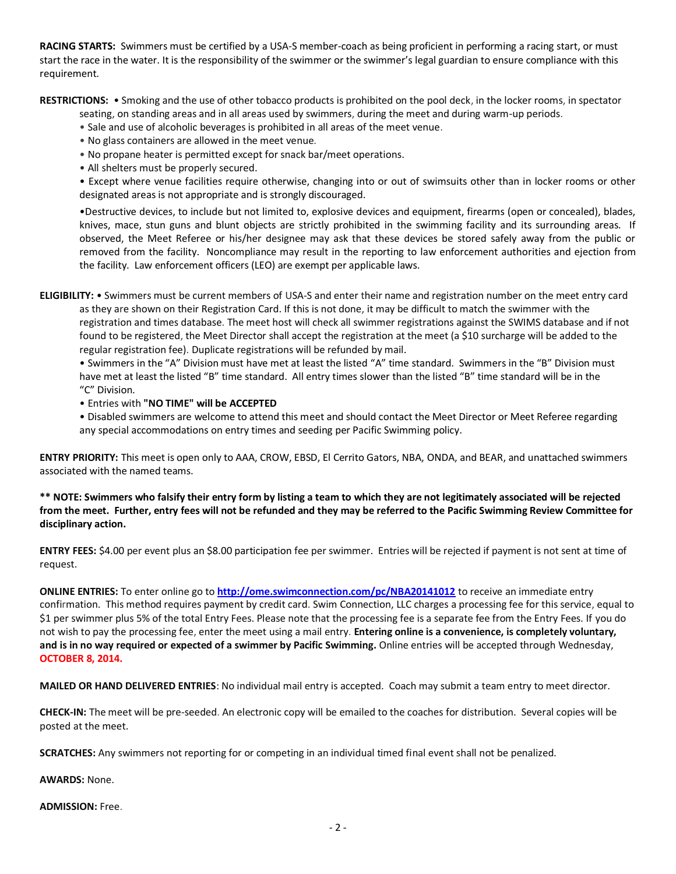**RACING STARTS:** Swimmers must be certified by a USA-S member-coach as being proficient in performing a racing start, or must start the race in the water. It is the responsibility of the swimmer or the swimmer's legal guardian to ensure compliance with this requirement.

**RESTRICTIONS:** • Smoking and the use of other tobacco products is prohibited on the pool deck, in the locker rooms, in spectator

seating, on standing areas and in all areas used by swimmers, during the meet and during warm-up periods.

- Sale and use of alcoholic beverages is prohibited in all areas of the meet venue.
- No glass containers are allowed in the meet venue.
- No propane heater is permitted except for snack bar/meet operations.
- All shelters must be properly secured.

• Except where venue facilities require otherwise, changing into or out of swimsuits other than in locker rooms or other designated areas is not appropriate and is strongly discouraged.

•Destructive devices, to include but not limited to, explosive devices and equipment, firearms (open or concealed), blades, knives, mace, stun guns and blunt objects are strictly prohibited in the swimming facility and its surrounding areas. If observed, the Meet Referee or his/her designee may ask that these devices be stored safely away from the public or removed from the facility. Noncompliance may result in the reporting to law enforcement authorities and ejection from the facility. Law enforcement officers (LEO) are exempt per applicable laws.

**ELIGIBILITY:** • Swimmers must be current members of USA-S and enter their name and registration number on the meet entry card as they are shown on their Registration Card. If this is not done, it may be difficult to match the swimmer with the registration and times database. The meet host will check all swimmer registrations against the SWIMS database and if not found to be registered, the Meet Director shall accept the registration at the meet (a \$10 surcharge will be added to the regular registration fee). Duplicate registrations will be refunded by mail.

• Swimmers in the "A" Division must have met at least the listed "A" time standard. Swimmers in the "B" Division must have met at least the listed "B" time standard. All entry times slower than the listed "B" time standard will be in the "C" Division.

• Entries with **"NO TIME" will be ACCEPTED**

• Disabled swimmers are welcome to attend this meet and should contact the Meet Director or Meet Referee regarding any special accommodations on entry times and seeding per Pacific Swimming policy.

**ENTRY PRIORITY:** This meet is open only to AAA, CROW, EBSD, El Cerrito Gators, NBA, ONDA, and BEAR, and unattached swimmers associated with the named teams.

**\*\* NOTE: Swimmers who falsify their entry form by listing a team to which they are not legitimately associated will be rejected from the meet. Further, entry fees will not be refunded and they may be referred to the Pacific Swimming Review Committee for disciplinary action.**

**ENTRY FEES:** \$4.00 per event plus an \$8.00 participation fee per swimmer. Entries will be rejected if payment is not sent at time of request.

**ONLINE ENTRIES:** To enter online go to **<http://ome.swimconnection.com/pc/NBA20141012>** to receive an immediate entry confirmation. This method requires payment by credit card. Swim Connection, LLC charges a processing fee for this service, equal to \$1 per swimmer plus 5% of the total Entry Fees. Please note that the processing fee is a separate fee from the Entry Fees. If you do not wish to pay the processing fee, enter the meet using a mail entry. **Entering online is a convenience, is completely voluntary, and is in no way required or expected of a swimmer by Pacific Swimming.** Online entries will be accepted through Wednesday, **OCTOBER 8, 2014.**

**MAILED OR HAND DELIVERED ENTRIES**: No individual mail entry is accepted. Coach may submit a team entry to meet director.

**CHECK-IN:** The meet will be pre-seeded. An electronic copy will be emailed to the coaches for distribution. Several copies will be posted at the meet.

**SCRATCHES:** Any swimmers not reporting for or competing in an individual timed final event shall not be penalized.

**AWARDS:** None.

**ADMISSION:** Free.